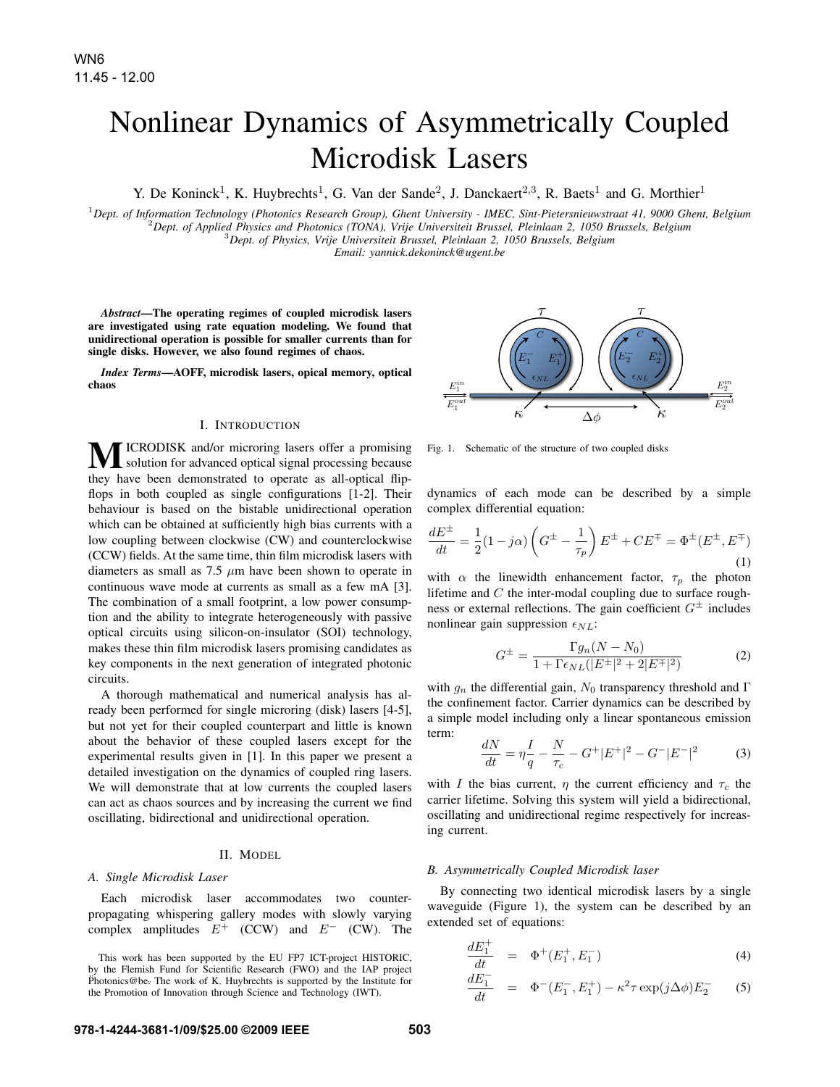# Nonlinear Dynamics of Asymmetrically Coupled Microdisk Lasers

Y. De Koninck<sup>1</sup>, K. Huybrechts<sup>1</sup>, G. Van der Sande<sup>2</sup>, J. Danckaert<sup>2,3</sup>, R. Baets<sup>1</sup> and G. Morthier<sup>1</sup>

<sup>1</sup>Dept. of Information Technology (Photonics Research Group), Ghent University - IMEC, Sint-Pietersnieuwstraat 41, 9000 Ghent, Belgium<br><sup>2</sup>Dept. of Applied Physics and Photonics (TONA), Vrije Universiteit Brussel, Pleinla

*Email: yannick.dekoninck@ugent.be*

*Abstract*—The operating regimes of coupled microdisk lasers are investigated using rate equation modeling. We found that unidirectional operation is possible for smaller currents than for single disks. However, we also found regimes of chaos.

*Index Terms*—AOFF, microdisk lasers, opical memory, optical chaos

### I. INTRODUCTION

ICRODISK and/or microring lasers offer a promising solution for advanced optical signal processing because they have been demonstrated to operate as all-optical flipflops in both coupled as single configurations [1-2]. Their behaviour is based on the bistable unidirectional operation which can be obtained at sufficiently high bias currents with a low coupling between clockwise (CW) and counterclockwise (CCW) fields. At the same time, thin film microdisk lasers with diameters as small as  $7.5 \mu m$  have been shown to operate in continuous wave mode at currents as small as a few mA [3]. The combination of a small footprint, a low power consumption and the ability to integrate heterogeneously with passive optical circuits using silicon-on-insulator (SOI) technology, makes these thin film microdisk lasers promising candidates as key components in the next generation of integrated photonic circuits.

A thorough mathematical and numerical analysis has already been performed for single microring (disk) lasers [4-5], but not yet for their coupled counterpart and little is known about the behavior of these coupled lasers except for the experimental results given in [1]. In this paper we present a detailed investigation on the dynamics of coupled ring lasers. We will demonstrate that at low currents the coupled lasers can act as chaos sources and by increasing the current we find oscillating, bidirectional and unidirectional operation.

### II. MODEL

# *A. Single Microdisk Laser*

Each microdisk laser accommodates two counterpropagating whispering gallery modes with slowly varying complex amplitudes  $E^+$  (CCW) and  $E^-$  (CW). The

This work has been supported by the EU FP7 ICT-project HISTORIC, by the Flemish Fund for Scientific Research (FWO) and the IAP project Photonics@be. The work of K. Huybrechts is supported by the Institute for the Promotion of Innovation through Science and Technology (IWT).



Fig. 1. Schematic of the structure of two coupled disks

dynamics of each mode can be described by a simple complex differential equation:

$$
\frac{dE^{\pm}}{dt} = \frac{1}{2}(1 - j\alpha) \left(G^{\pm} - \frac{1}{\tau_p}\right) E^{\pm} + CE^{\mp} = \Phi^{\pm} (E^{\pm}, E^{\mp})
$$
\n(1)

with  $\alpha$  the linewidth enhancement factor,  $\tau_p$  the photon lifetime and  $C$  the inter-modal coupling due to surface roughness or external reflections. The gain coefficient  $G^{\pm}$  includes nonlinear gain suppression  $\epsilon_{NL}$ :

$$
G^{\pm} = \frac{\Gamma g_n (N - N_0)}{1 + \Gamma \epsilon_{NL} (|E^{\pm}|^2 + 2|E^{\mp}|^2)}
$$
(2)

with  $g_n$  the differential gain,  $N_0$  transparency threshold and Γ the confinement factor. Carrier dynamics can be described by a simple model including only a linear spontaneous emission term:

$$
\frac{dN}{dt} = \eta \frac{I}{q} - \frac{N}{\tau_c} - G^+ |E^+|^2 - G^- |E^-|^2 \tag{3}
$$

with I the bias current,  $\eta$  the current efficiency and  $\tau_c$  the carrier lifetime. Solving this system will yield a bidirectional, oscillating and unidirectional regime respectively for increasing current.

#### *B. Asymmetrically Coupled Microdisk laser*

By connecting two identical microdisk lasers by a single waveguide (Figure 1), the system can be described by an extended set of equations:

$$
\frac{dE_1^+}{dt} = \Phi^+(E_1^+, E_1^-) \tag{4}
$$

$$
\frac{dE_1^-}{dt} = \Phi^-(E_1^-, E_1^+) - \kappa^2 \tau \exp(j\Delta\phi) E_2^- \tag{5}
$$